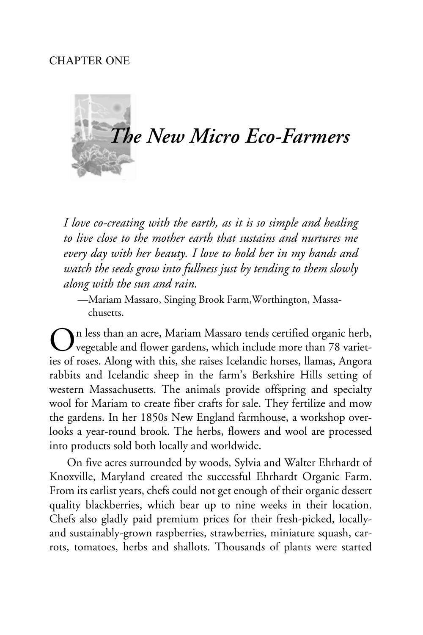## CHAPTER ONE



*I love co-creating with the earth, as it is so simple and healing to live close to the mother earth that sustains and nurtures me every day with her beauty. I love to hold her in my hands and watch the seeds grow into fullness just by tending to them slowly along with the sun and rain.*

—Mariam Massaro, Singing Brook Farm,Worthington, Massa chusetts.

On less than an acre, Mariam Massaro tends certified organic herb,<br>vegetable and flower gardens, which include more than 78 varieties of roses. Along with this, she raises Icelandic horses, llamas, Angora rabbits and Icelandic sheep in the farm's Berkshire Hills setting of western Massachusetts. The animals provide offspring and specialty wool for Mariam to create fiber crafts for sale. They fertilize and mow the gardens. In her 1850s New England farmhouse, a workshop over looks a year-round brook. The herbs, flowers and wool are processed into products sold both locally and worldwide.

On five acres surrounded by woods, Sylvia and Walter Ehrhardt of Knoxville, Maryland created the successful Ehrhardt Organic Farm. From its earlist years, chefs could not get enough of their organic dessert quality blackberries, which bear up to nine weeks in their location. Chefs also gladly paid premium prices for their fresh-picked, locally and sustainably-grown raspberries, strawberries, miniature squash, car rots, tomatoes, herbs and shallots. Thousands of plants were started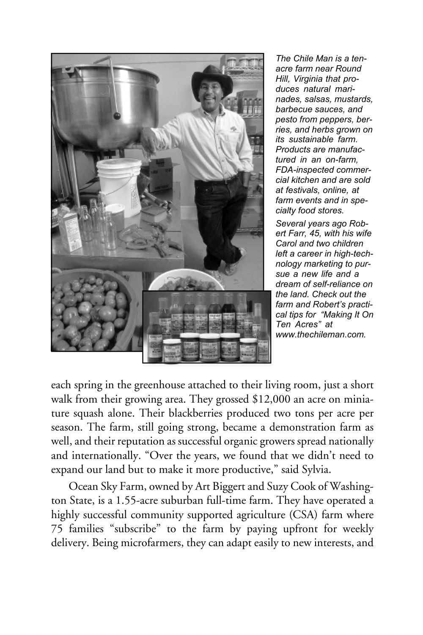

*The Chile Man is a ten acre farm near Round Hill, Virginia that pro duces natural mari nades, salsas, mustards, barbecue sauces, and pesto from peppers, ber ries, and herbs grown on its sustainable farm. Products are manufac tured in an on-farm, FDA-inspected commer cial kitchen and are sold at festivals, online, at farm events and in spe cialty food stores.*

*Several years ago Rob ert Farr, 45, with his wife Carol and two children left a career in high-tech nology marketing to pur sue a new life and a dream of self-reliance on the land. Check out the farm and Robert's practi cal tips for "Making It On Ten Acres" at www.thechileman.com.*

each spring in the greenhouse attached to their living room, just a short walk from their growing area. They grossed \$12,000 an acre on miniature squash alone. Their blackberries produced two tons per acre per season. The farm, still going strong, became a demonstration farm as well, and their reputation as successful organic growers spread nationally and internationally. "Over the years, we found that we didn't need to expand our land but to make it more productive," said Sylvia.

Ocean Sky Farm, owned by Art Biggert and Suzy Cook of Washing ton State, is a 1.55-acre suburban full-time farm. They have operated a highly successful community supported agriculture (CSA) farm where 75 families "subscribe" to the farm by paying upfront for weekly delivery. Being microfarmers, they can adapt easily to new interests, and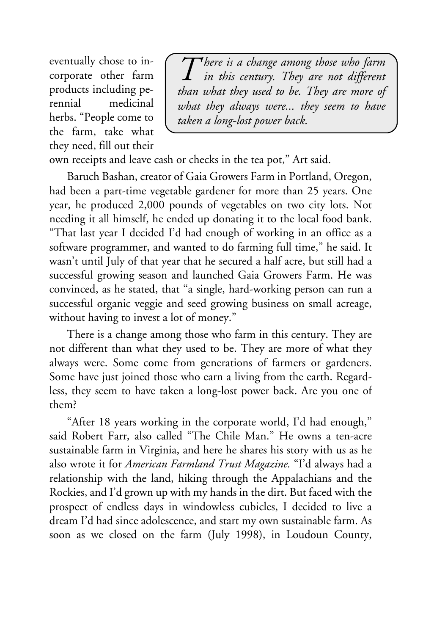eventually chose to in corporate other farm products including pe rennial medicinal herbs. "People come to the farm, take what they need, fill out their

*There is a change among those who farm in this century. They are not different than what they used to be. They are more of what they always were... they seem to have taken a long-lost power back.*

own receipts and leave cash or checks in the tea pot," Art said.

Baruch Bashan, creator of Gaia Growers Farm in Portland, Oregon, had been a part-time vegetable gardener for more than 25 years. One year, he produced 2,000 pounds of vegetables on two city lots. Not needing it all himself, he ended up donating it to the local food bank. "That last year I decided I'd had enough of working in an office as a software programmer, and wanted to do farming full time," he said. It wasn't until July of that year that he secured a half acre, but still had a successful growing season and launched Gaia Growers Farm. He was convinced, as he stated, that "a single, hard-working person can run a successful organic veggie and seed growing business on small acreage, without having to invest a lot of money."

There is a change among those who farm in this century. They are not different than what they used to be. They are more of what they always were. Some come from generations of farmers or gardeners. Some have just joined those who earn a living from the earth. Regard less, they seem to have taken a long-lost power back. Are you one of them?

"After 18 years working in the corporate world, I'd had enough," said Robert Farr, also called "The Chile Man." He owns a ten-acre sustainable farm in Virginia, and here he shares his story with us as he also wrote it for*American Farmland Trust Magazine.* "I'd always had a relationship with the land, hiking through the Appalachians and the Rockies, and I'd grown up with my hands in the dirt. But faced with the prospect of endless days in windowless cubicles, I decided to live a dream I'd had since adolescence, and start my own sustainable farm. As soon as we closed on the farm (July 1998), in Loudoun County,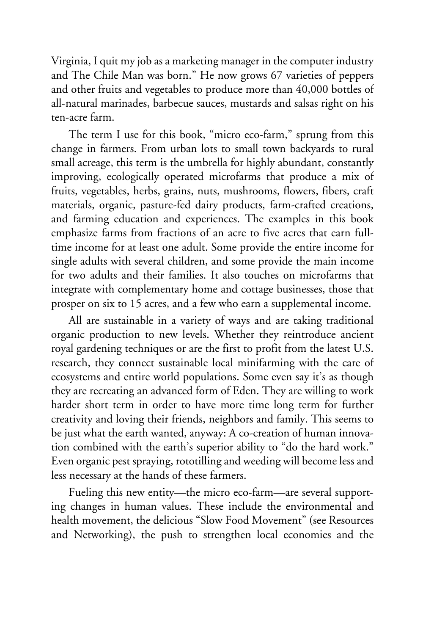Virginia, I quit my job as a marketing manager in the computer industry and The Chile Man was born." He now grows 67 varieties of peppers and other fruits and vegetables to produce more than 40,000 bottles of all-natural marinades, barbecue sauces, mustards and salsas right on his ten-acre farm.

The term I use for this book, "micro eco-farm," sprung from this change in farmers. From urban lots to small town backyards to rural small acreage, this term is the umbrella for highly abundant, constantly improving, ecologically operated microfarms that produce a mix of fruits, vegetables, herbs, grains, nuts, mushrooms, flowers, fibers, craft materials, organic, pasture-fed dairy products, farm-crafted creations, and farming education and experiences. The examples in this book emphasize farms from fractions of an acre to five acres that earn full time income for at least one adult. Some provide the entire income for single adults with several children, and some provide the main income for two adults and their families. It also touches on microfarms that integrate with complementary home and cottage businesses, those that prosper on six to 15 acres, and a few who earn a supplemental income.

All are sustainable in a variety of ways and are taking traditional organic production to new levels. Whether they reintroduce ancient royal gardening techniques or are the first to profit from the latest U.S. research, they connect sustainable local minifarming with the care of ecosystems and entire world populations. Some even say it's as though they are recreating an advanced form of Eden. They are willing to work harder short term in order to have more time long term for further creativity and loving their friends, neighbors and family. This seems to be just what the earth wanted, anyway: A co-creation of human innova tion combined with the earth's superior ability to "do the hard work." Even organic pest spraying, rototilling and weeding will become less and less necessary at the hands of these farmers.

Fueling this new entity—the micro eco-farm—are several support ing changes in human values. These include the environmental and health movement, the delicious "Slow Food Movement" (see Resources and Networking), the push to strengthen local economies and the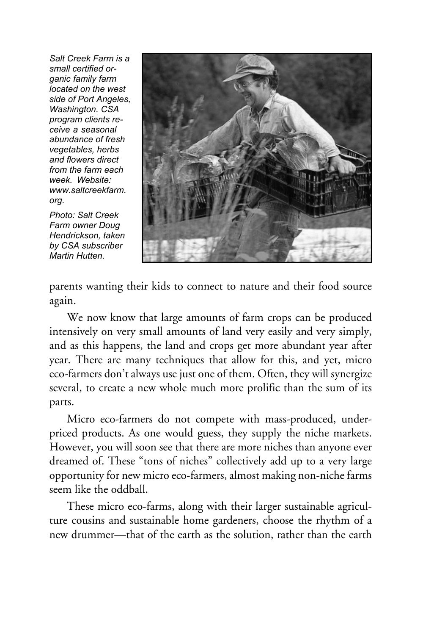*Salt Creek Farm is a small certified or ganic family farm located on the west side of Port Angeles, Washington. CSA program clients re ceive a seasonal abundance of fresh vegetables, herbs and flowers direct from the farm each week. Website: www.saltcreekfarm. org.*

*Photo: Salt Creek Farm owner Doug Hendrickson, taken by CSA subscriber Martin Hutten.*



parents wanting their kids to connect to nature and their food source again.

We now know that large amounts of farm crops can be produced intensively on very small amounts of land very easily and very simply, and as this happens, the land and crops get more abundant year after year. There are many techniques that allow for this, and yet, micro eco-farmers don't always use just one of them. Often, they will synergize several, to create a new whole much more prolific than the sum of its parts.

Micro eco-farmers do not compete with mass-produced, under priced products. As one would guess, they supply the niche markets. However, you will soon see that there are more niches than anyone ever dreamed of. These "tons of niches" collectively add up to a very large opportunity for new micro eco-farmers, almost making non-niche farms seem like the oddball.

These micro eco-farms, along with their larger sustainable agricul ture cousins and sustainable home gardeners, choose the rhythm of a new drummer—that of the earth as the solution, rather than the earth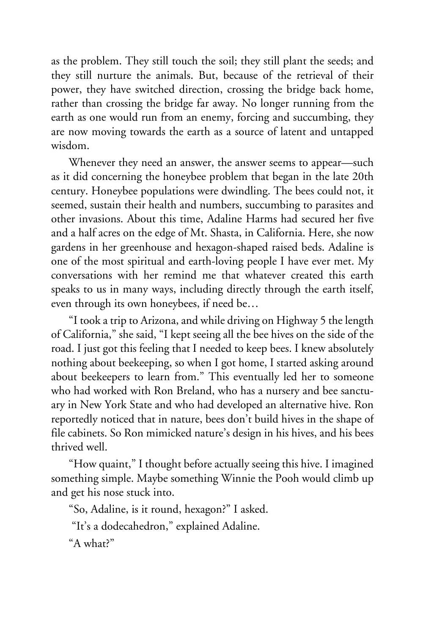as the problem. They still touch the soil; they still plant the seeds; and they still nurture the animals. But, because of the retrieval of their power, they have switched direction, crossing the bridge back home, rather than crossing the bridge far away. No longer running from the earth as one would run from an enemy, forcing and succumbing, they are now moving towards the earth as a source of latent and untapped wisdom.

Whenever they need an answer, the answer seems to appear—such as it did concerning the honeybee problem that began in the late 20th century. Honeybee populations were dwindling. The bees could not, it seemed, sustain their health and numbers, succumbing to parasites and other invasions. About this time, Adaline Harms had secured her five and a half acres on the edge of Mt. Shasta, in California. Here, she now gardens in her greenhouse and hexagon-shaped raised beds. Adaline is one of the most spiritual and earth-loving people I have ever met. My conversations with her remind me that whatever created this earth speaks to us in many ways, including directly through the earth itself, even through its own honeybees, if need be…

"I took a trip to Arizona, and while driving on Highway 5 the length of California," she said, "I kept seeing all the bee hives on the side of the road. I just got this feeling that I needed to keep bees. I knew absolutely nothing about beekeeping, so when I got home, I started asking around about beekeepers to learn from." This eventually led her to someone who had worked with Ron Breland, who has a nursery and bee sanctu ary in New York State and who had developed an alternative hive. Ron reportedly noticed that in nature, bees don't build hives in the shape of file cabinets. So Ron mimicked nature's design in his hives, and his bees thrived well.

"How quaint," I thought before actually seeing this hive. I imagined something simple. Maybe something Winnie the Pooh would climb up and get his nose stuck into.

"So, Adaline, is it round, hexagon?" I asked.

"It's a dodecahedron," explained Adaline.

"A what?"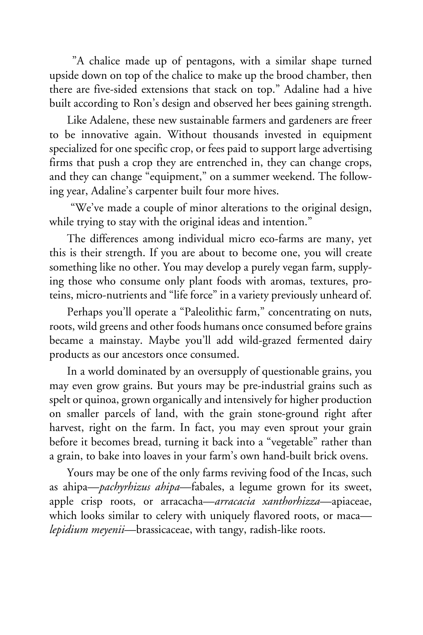"A chalice made up of pentagons, with a similar shape turned upside down on top of the chalice to make up the brood chamber, then there are five-sided extensions that stack on top." Adaline had a hive built according to Ron's design and observed her bees gaining strength.

Like Adalene, these new sustainable farmers and gardeners are freer to be innovative again. Without thousands invested in equipment specialized for one specific crop, or fees paid to support large advertising firms that push a crop they are entrenched in, they can change crops, and they can change "equipment," on a summer weekend. The follow ing year, Adaline's carpenter built four more hives.

 "We've made a couple of minor alterations to the original design, while trying to stay with the original ideas and intention."

The differences among individual micro eco-farms are many, yet this is their strength. If you are about to become one, you will create something like no other. You may develop a purely vegan farm, supply ing those who consume only plant foods with aromas, textures, pro teins, micro-nutrients and "life force" in a variety previously unheard of.

Perhaps you'll operate a "Paleolithic farm," concentrating on nuts, roots, wild greens and other foods humans once consumed before grains became a mainstay. Maybe you'll add wild-grazed fermented dairy products as our ancestors once consumed.

In a world dominated by an oversupply of questionable grains, you may even grow grains. But yours may be pre-industrial grains such as spelt or quinoa, grown organically and intensively for higher production on smaller parcels of land, with the grain stone-ground right after harvest, right on the farm. In fact, you may even sprout your grain before it becomes bread, turning it back into a "vegetable" rather than a grain, to bake into loaves in your farm's own hand-built brick ovens.

Yours may be one of the only farms reviving food of the Incas, such as ahipa—*pachyrhizus ahipa*—fabales, a legume grown for its sweet, apple crisp roots, or arracacha—*arracacia xanthorhizza*—apiaceae, which looks similar to celery with uniquely flavored roots, or maca*lepidium meyenii*—brassicaceae, with tangy, radish-like roots.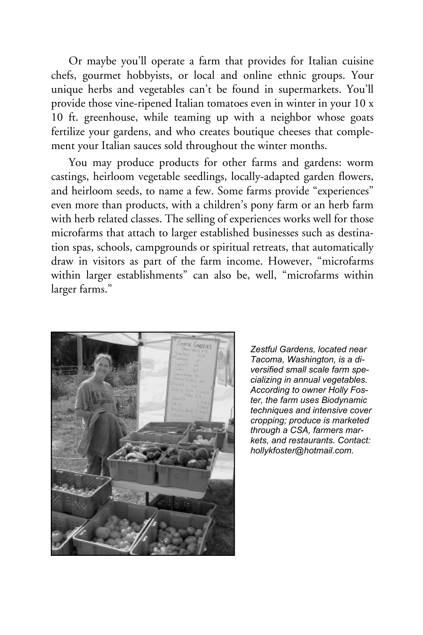Or maybe you'll operate a farm that provides for Italian cuisine chefs, gourmet hobbyists, or local and online ethnic groups. Your unique herbs and vegetables can't be found in supermarkets. You'll provide those vine-ripened Italian tomatoes even in winter in your 10 x 10 ft. greenhouse, while teaming up with a neighbor whose goats fertilize your gardens, and who creates boutique cheeses that comple ment your Italian sauces sold throughout the winter months.

You may produce products for other farms and gardens: worm castings, heirloom vegetable seedlings, locally-adapted garden flowers, and heirloom seeds, to name a few. Some farms provide "experiences" even more than products, with a children's pony farm or an herb farm with herb related classes. The selling of experiences works well for those microfarms that attach to larger established businesses such as destina tion spas, schools, campgrounds or spiritual retreats, that automatically draw in visitors as part of the farm income. However, "microfarms within larger establishments" can also be, well, "microfarms within larger farms."



*Zestful Gardens, located near Tacoma, Washington, is a di versified small scale farm spe cializing in annual vegetables. According to owner Holly Fos ter, the farm uses Biodynamic techniques and intensive cover cropping; produce is marketed through a CSA, farmers mar kets, and restaurants. Contact: hollykfoster@hotmail.com.*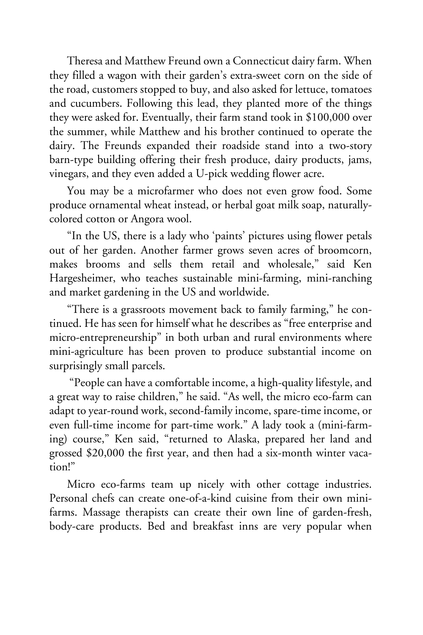Theresa and Matthew Freund own a Connecticut dairy farm. When they filled a wagon with their garden's extra-sweet corn on the side of the road, customers stopped to buy, and also asked for lettuce, tomatoes and cucumbers. Following this lead, they planted more of the things they were asked for. Eventually, their farm stand took in \$100,000 over the summer, while Matthew and his brother continued to operate the dairy. The Freunds expanded their roadside stand into a two-story barn-type building offering their fresh produce, dairy products, jams, vinegars, and they even added a U-pick wedding flower acre.

You may be a microfarmer who does not even grow food. Some produce ornamental wheat instead, or herbal goat milk soap, naturally colored cotton or Angora wool.

"In the US, there is a lady who 'paints' pictures using flower petals out of her garden. Another farmer grows seven acres of broomcorn, makes brooms and sells them retail and wholesale," said Ken Hargesheimer, who teaches sustainable mini-farming, mini-ranching and market gardening in the US and worldwide.

"There is a grassroots movement back to family farming," he con tinued. He has seen for himself what he describes as "free enterprise and micro-entrepreneurship" in both urban and rural environments where mini-agriculture has been proven to produce substantial income on surprisingly small parcels.

 "People can have a comfortable income, a high-quality lifestyle, and a great way to raise children," he said. "As well, the micro eco-farm can adapt to year-round work, second-family income, spare-time income, or even full-time income for part-time work." A lady took a (mini-farm ing) course," Ken said, "returned to Alaska, prepared her land and grossed \$20,000 the first year, and then had a six-month winter vaca tion!"

Micro eco-farms team up nicely with other cottage industries. Personal chefs can create one-of-a-kind cuisine from their own mini farms. Massage therapists can create their own line of garden-fresh, body-care products. Bed and breakfast inns are very popular when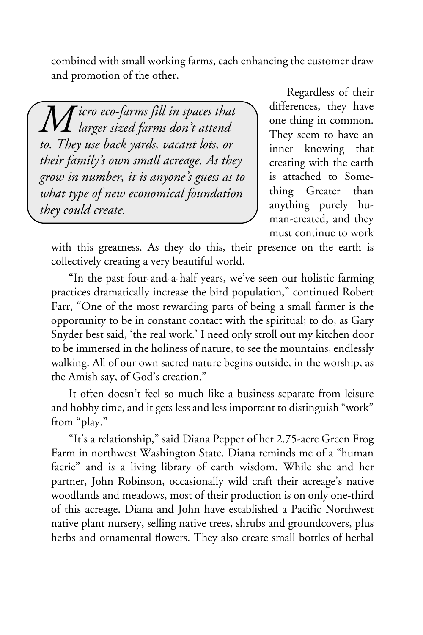combined with small working farms, each enhancing the customer draw and promotion of the other.

*Micro eco-farms fill in spaces that larger sized farms don't attend to. They use back yards, vacant lots, or their family's own small acreage. As they grow in number, it is anyone's guess as to what type of new economical foundation they could create.*

Regardless of their differences, they have one thing in common. They seem to have an inner knowing that creating with the earth is attached to Some thing Greater than anything purely hu man-created, and they must continue to work

with this greatness. As they do this, their presence on the earth is collectively creating a very beautiful world.

"In the past four-and-a-half years, we've seen our holistic farming practices dramatically increase the bird population," continued Robert Farr, "One of the most rewarding parts of being a small farmer is the opportunity to be in constant contact with the spiritual; to do, as Gary Snyder best said, 'the real work.' I need only stroll out my kitchen door to be immersed in the holiness of nature, to see the mountains, endlessly walking. All of our own sacred nature begins outside, in the worship, as the Amish say, of God's creation."

It often doesn't feel so much like a business separate from leisure and hobby time, and it gets less and less important to distinguish "work" from "play."

"It's a relationship," said Diana Pepper of her 2.75-acre Green Frog Farm in northwest Washington State. Diana reminds me of a "human faerie" and is a living library of earth wisdom. While she and her partner, John Robinson, occasionally wild craft their acreage's native woodlands and meadows, most of their production is on only one-third of this acreage. Diana and John have established a Pacific Northwest native plant nursery, selling native trees, shrubs and groundcovers, plus herbs and ornamental flowers. They also create small bottles of herbal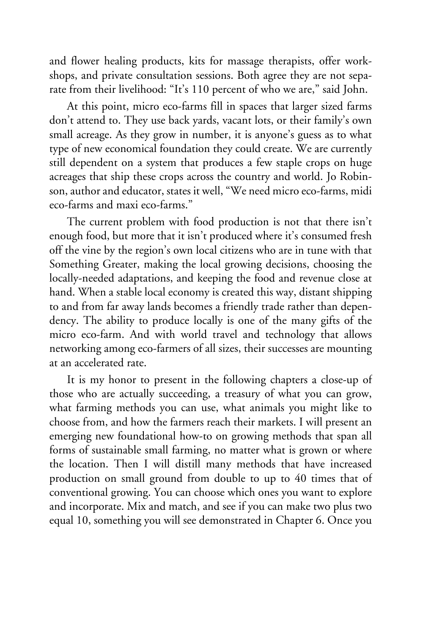and flower healing products, kits for massage therapists, offer work shops, and private consultation sessions. Both agree they are not sepa rate from their livelihood: "It's 110 percent of who we are," said John.

At this point, micro eco-farms fill in spaces that larger sized farms don't attend to. They use back yards, vacant lots, or their family's own small acreage. As they grow in number, it is anyone's guess as to what type of new economical foundation they could create. We are currently still dependent on a system that produces a few staple crops on huge acreages that ship these crops across the country and world. Jo Robin son, author and educator, states it well, "We need micro eco-farms, midi eco-farms and maxi eco-farms."

The current problem with food production is not that there isn't enough food, but more that it isn't produced where it's consumed fresh off the vine by the region's own local citizens who are in tune with that Something Greater, making the local growing decisions, choosing the locally-needed adaptations, and keeping the food and revenue close at hand. When a stable local economy is created this way, distant shipping to and from far away lands becomes a friendly trade rather than depen dency. The ability to produce locally is one of the many gifts of the micro eco-farm. And with world travel and technology that allows networking among eco-farmers of all sizes, their successes are mounting at an accelerated rate.

It is my honor to present in the following chapters a close-up of those who are actually succeeding, a treasury of what you can grow, what farming methods you can use, what animals you might like to choose from, and how the farmers reach their markets. I will present an emerging new foundational how-to on growing methods that span all forms of sustainable small farming, no matter what is grown or where the location. Then I will distill many methods that have increased production on small ground from double to up to 40 times that of conventional growing. You can choose which ones you want to explore and incorporate. Mix and match, and see if you can make two plus two equal 10, something you will see demonstrated in Chapter 6. Once you